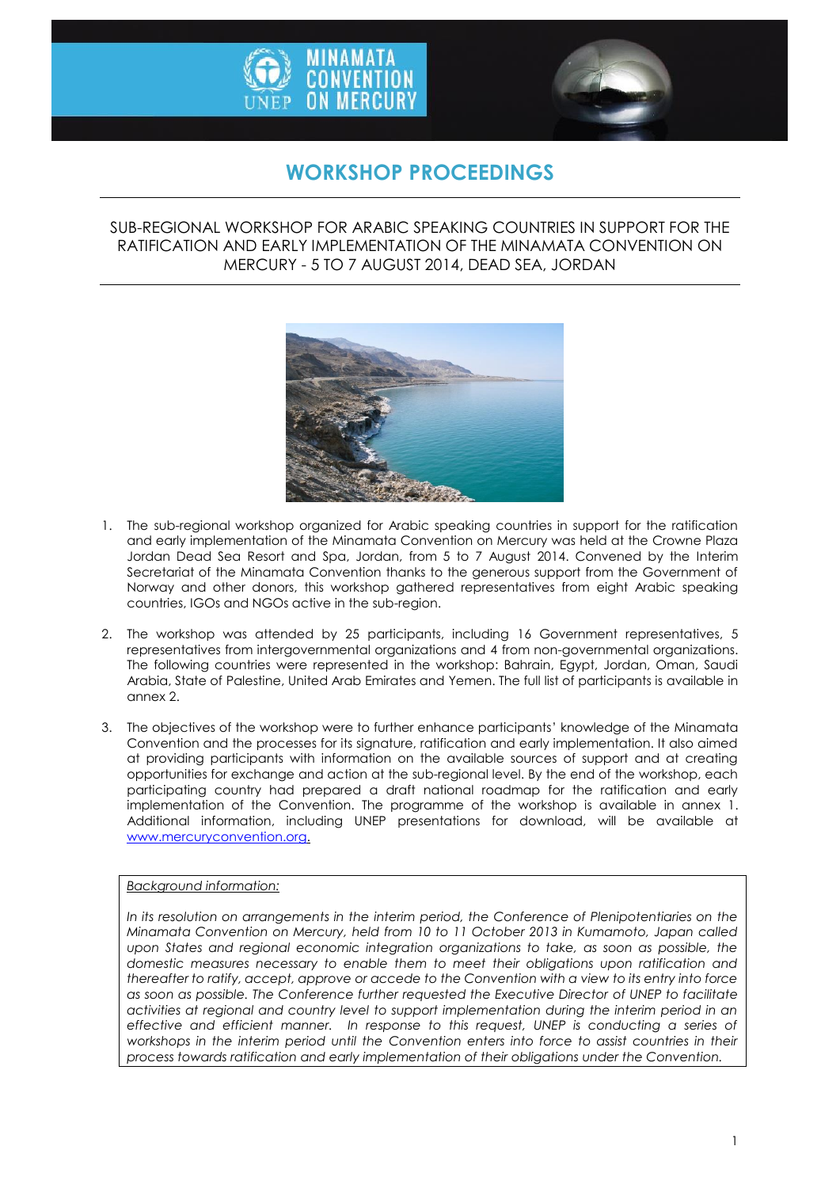



## **WORKSHOP PROCEEDINGS**

#### SUB-REGIONAL WORKSHOP FOR ARABIC SPEAKING COUNTRIES IN SUPPORT FOR THE RATIFICATION AND EARLY IMPLEMENTATION OF THE MINAMATA CONVENTION ON MERCURY - 5 TO 7 AUGUST 2014, DEAD SEA, JORDAN



- 1. The sub-regional workshop organized for Arabic speaking countries in support for the ratification and early implementation of the Minamata Convention on Mercury was held at the Crowne Plaza Jordan Dead Sea Resort and Spa, Jordan, from 5 to 7 August 2014. Convened by the Interim Secretariat of the Minamata Convention thanks to the generous support from the Government of Norway and other donors, this workshop gathered representatives from eight Arabic speaking countries, IGOs and NGOs active in the sub-region.
- 2. The workshop was attended by 25 participants, including 16 Government representatives, 5 representatives from intergovernmental organizations and 4 from non-governmental organizations. The following countries were represented in the workshop: Bahrain, Egypt, Jordan, Oman, Saudi Arabia, State of Palestine, United Arab Emirates and Yemen. The full list of participants is available in annex 2.
- 3. The objectives of the workshop were to further enhance participants' knowledge of the Minamata Convention and the processes for its signature, ratification and early implementation. It also aimed at providing participants with information on the available sources of support and at creating opportunities for exchange and action at the sub-regional level. By the end of the workshop, each participating country had prepared a draft national roadmap for the ratification and early implementation of the Convention. The programme of the workshop is available in annex 1. Additional information, including UNEP presentations for download, will be available at [www.mercuryconvention.org.](http://www.mercuryconvention.org/)

#### *Background information:*

*In its resolution on arrangements in the interim period, the Conference of Plenipotentiaries on the Minamata Convention on Mercury, held from 10 to 11 October 2013 in Kumamoto, Japan called*  upon States and regional economic integration organizations to take, as soon as possible, the *domestic measures necessary to enable them to meet their obligations upon ratification and thereafter to ratify, accept, approve or accede to the Convention with a view to its entry into force as soon as possible. The Conference further requested the Executive Director of UNEP to facilitate activities at regional and country level to support implementation during the interim period in an effective and efficient manner. In response to this request, UNEP is conducting a series of workshops in the interim period until the Convention enters into force to assist countries in their process towards ratification and early implementation of their obligations under the Convention.*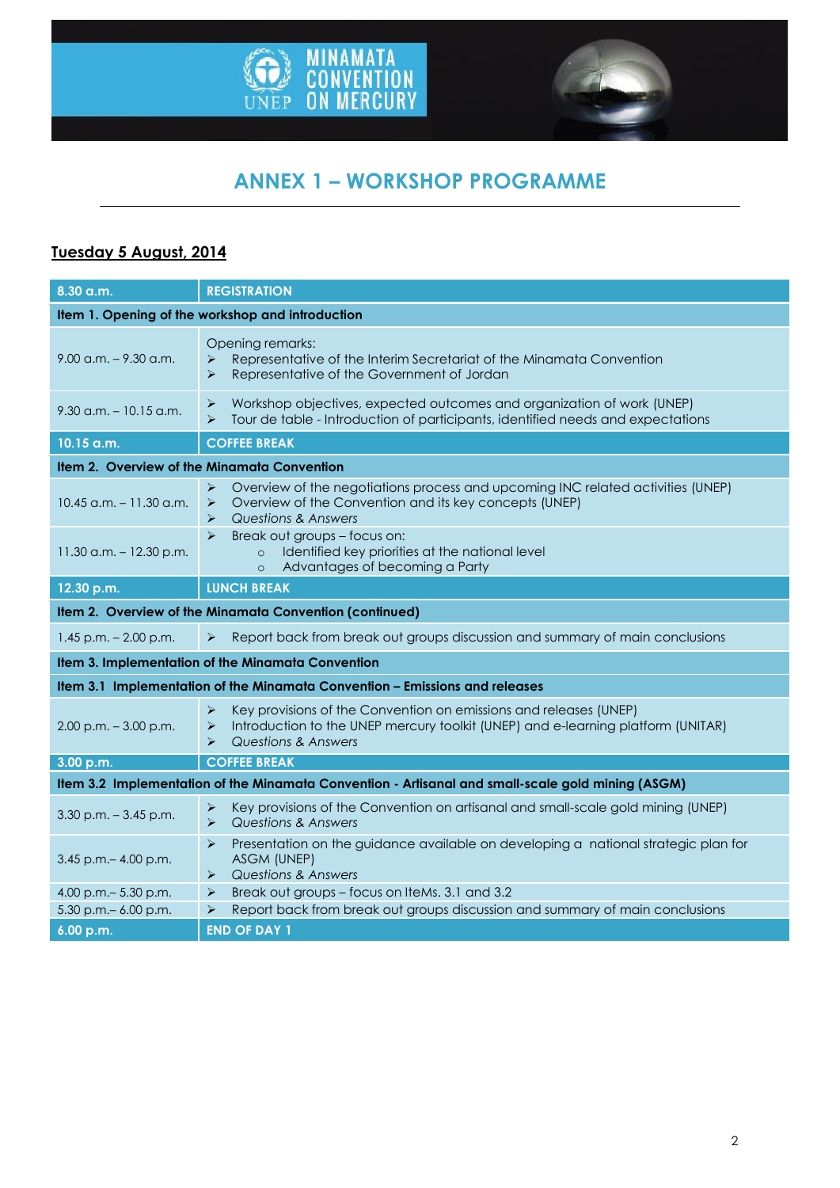



# **ANNEX 1 – WORKSHOP PROGRAMME**

### **Tuesday 5 August, 2014**

| 8.30 a.m.                                                                                         | <b>REGISTRATION</b>                                                                                                                                                                                    |  |
|---------------------------------------------------------------------------------------------------|--------------------------------------------------------------------------------------------------------------------------------------------------------------------------------------------------------|--|
| Item 1. Opening of the workshop and introduction                                                  |                                                                                                                                                                                                        |  |
| $9.00$ a.m. $-9.30$ a.m.                                                                          | Opening remarks:<br>Representative of the Interim Secretariat of the Minamata Convention<br>➤<br>Representative of the Government of Jordan<br>$\blacktriangleright$                                   |  |
| $9.30$ a.m. $-10.15$ a.m.                                                                         | Workshop objectives, expected outcomes and organization of work (UNEP)<br>➤<br>$\blacktriangleright$<br>Tour de table - Introduction of participants, identified needs and expectations                |  |
| 10.15 a.m.                                                                                        | <b>COFFEE BREAK</b>                                                                                                                                                                                    |  |
| Item 2. Overview of the Minamata Convention                                                       |                                                                                                                                                                                                        |  |
| $10.45$ a.m. $-11.30$ a.m.                                                                        | Overview of the negotiations process and upcoming INC related activities (UNEP)<br>➤<br>Overview of the Convention and its key concepts (UNEP)<br>➤<br><b>Questions &amp; Answers</b><br>➤             |  |
| 11.30 a.m. $-$ 12.30 p.m.                                                                         | Break out groups - focus on:<br>$\blacktriangleright$<br>Identified key priorities at the national level<br>$\circ$<br>Advantages of becoming a Party<br>$\circ$                                       |  |
| 12.30 p.m.                                                                                        | <b>LUNCH BREAK</b>                                                                                                                                                                                     |  |
| Item 2. Overview of the Minamata Convention (continued)                                           |                                                                                                                                                                                                        |  |
| $1.45$ p.m. $- 2.00$ p.m.                                                                         | Report back from break out groups discussion and summary of main conclusions<br>➤                                                                                                                      |  |
| Item 3. Implementation of the Minamata Convention                                                 |                                                                                                                                                                                                        |  |
| Item 3.1 Implementation of the Minamata Convention - Emissions and releases                       |                                                                                                                                                                                                        |  |
| $2.00$ p.m. $-3.00$ p.m.                                                                          | Key provisions of the Convention on emissions and releases (UNEP)<br>➤<br>Introduction to the UNEP mercury toolkit (UNEP) and e-learning platform (UNITAR)<br>➤<br><b>Questions &amp; Answers</b><br>➤ |  |
| 3.00 p.m.                                                                                         | <b>COFFEE BREAK</b>                                                                                                                                                                                    |  |
| Item 3.2 Implementation of the Minamata Convention - Artisanal and small-scale gold mining (ASGM) |                                                                                                                                                                                                        |  |
| $3.30$ p.m. $-3.45$ p.m.                                                                          | Key provisions of the Convention on artisanal and small-scale gold mining (UNEP)<br>➤<br>Questions & Answers<br>$\blacktriangleright$                                                                  |  |
| $3.45$ p.m. $- 4.00$ p.m.                                                                         | Presentation on the guidance available on developing a national strategic plan for<br>➤<br>ASGM (UNEP)<br><b>Questions &amp; Answers</b><br>➤                                                          |  |
| 4.00 p.m. - 5.30 p.m.                                                                             | Break out groups - focus on IteMs. 3.1 and 3.2<br>➤                                                                                                                                                    |  |
| 5.30 p.m. - 6.00 p.m.                                                                             | Report back from break out groups discussion and summary of main conclusions<br>➤                                                                                                                      |  |
| 6.00 p.m.                                                                                         | <b>END OF DAY 1</b>                                                                                                                                                                                    |  |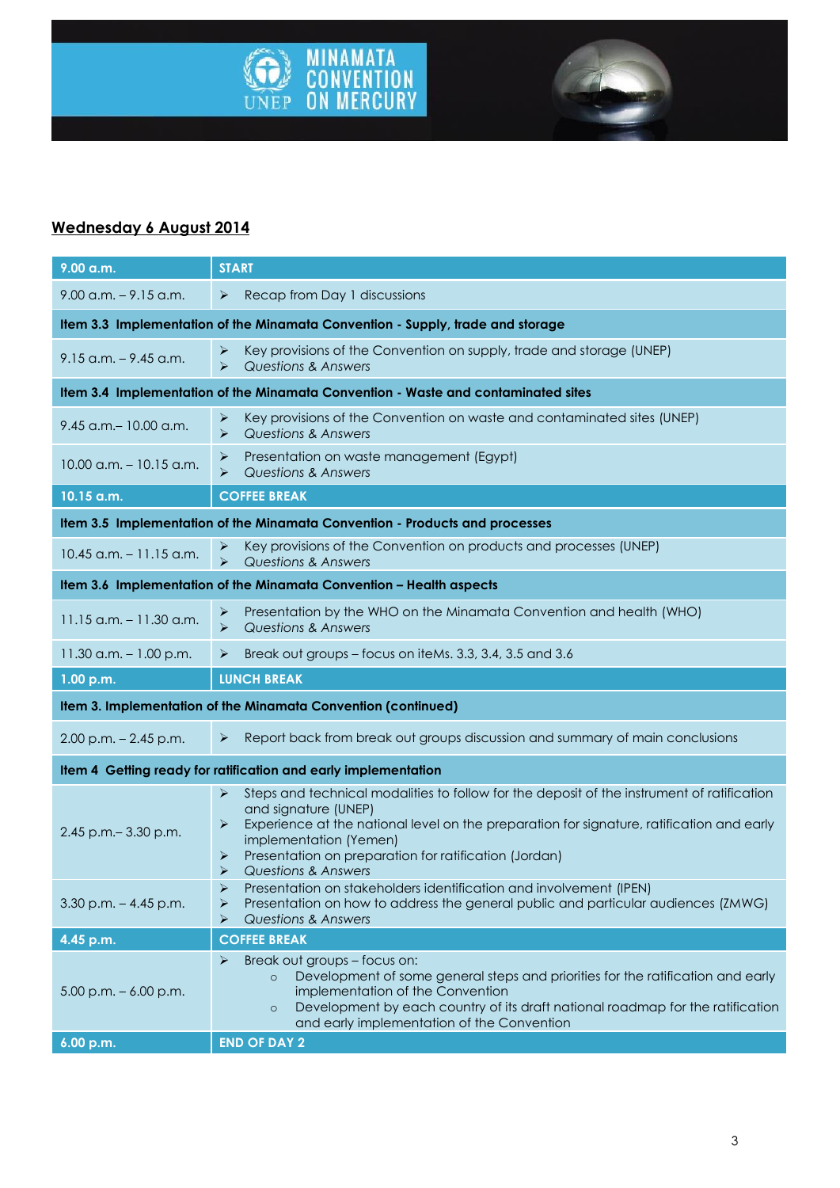



### **Wednesday 6 August 2014**

| 9.00 a.m.                                                                      | <b>START</b>                                                                                                                                                                                                                                                                                                                                             |  |  |
|--------------------------------------------------------------------------------|----------------------------------------------------------------------------------------------------------------------------------------------------------------------------------------------------------------------------------------------------------------------------------------------------------------------------------------------------------|--|--|
| $9.00$ a.m. $-9.15$ a.m.                                                       | Recap from Day 1 discussions<br>➤                                                                                                                                                                                                                                                                                                                        |  |  |
| Item 3.3 Implementation of the Minamata Convention - Supply, trade and storage |                                                                                                                                                                                                                                                                                                                                                          |  |  |
| $9.15$ a.m. $-9.45$ a.m.                                                       | Key provisions of the Convention on supply, trade and storage (UNEP)<br>➤<br>$\blacktriangleright$<br><b>Questions &amp; Answers</b>                                                                                                                                                                                                                     |  |  |
|                                                                                | Item 3.4 Implementation of the Minamata Convention - Waste and contaminated sites                                                                                                                                                                                                                                                                        |  |  |
| 9.45 a.m. - 10.00 a.m.                                                         | Key provisions of the Convention on waste and contaminated sites (UNEP)<br>➤<br><b>Questions &amp; Answers</b><br>➤                                                                                                                                                                                                                                      |  |  |
| $10.00$ a.m. $-10.15$ a.m.                                                     | Presentation on waste management (Egypt)<br>⋗<br>$\blacktriangleright$<br><b>Questions &amp; Answers</b>                                                                                                                                                                                                                                                 |  |  |
| 10.15 a.m.                                                                     | <b>COFFEE BREAK</b>                                                                                                                                                                                                                                                                                                                                      |  |  |
| Item 3.5 Implementation of the Minamata Convention - Products and processes    |                                                                                                                                                                                                                                                                                                                                                          |  |  |
| $10.45$ a.m. $-11.15$ a.m.                                                     | Key provisions of the Convention on products and processes (UNEP)<br>➤<br>$\blacktriangleright$<br><b>Questions &amp; Answers</b>                                                                                                                                                                                                                        |  |  |
| Item 3.6 Implementation of the Minamata Convention - Health aspects            |                                                                                                                                                                                                                                                                                                                                                          |  |  |
| $11.15$ a.m. $- 11.30$ a.m.                                                    | Presentation by the WHO on the Minamata Convention and health (WHO)<br>➤<br><b>Questions &amp; Answers</b><br>➤                                                                                                                                                                                                                                          |  |  |
| 11.30 a.m. $-1.00$ p.m.                                                        | Break out groups - focus on iteMs. 3.3, 3.4, 3.5 and 3.6<br>➤                                                                                                                                                                                                                                                                                            |  |  |
| 1.00 p.m.                                                                      | <b>LUNCH BREAK</b>                                                                                                                                                                                                                                                                                                                                       |  |  |
| Item 3. Implementation of the Minamata Convention (continued)                  |                                                                                                                                                                                                                                                                                                                                                          |  |  |
| $2.00$ p.m. $- 2.45$ p.m.                                                      | Report back from break out groups discussion and summary of main conclusions<br>➤                                                                                                                                                                                                                                                                        |  |  |
| Item 4 Getting ready for ratification and early implementation                 |                                                                                                                                                                                                                                                                                                                                                          |  |  |
| 2.45 p.m. - 3.30 p.m.                                                          | Steps and technical modalities to follow for the deposit of the instrument of ratification<br>➤<br>and signature (UNEP)<br>Experience at the national level on the preparation for signature, ratification and early<br>➤<br>implementation (Yemen)<br>Presentation on preparation for ratification (Jordan)<br>➤<br><b>Questions &amp; Answers</b><br>⋗ |  |  |
| $3.30$ p.m. $-4.45$ p.m.                                                       | $\blacktriangleright$<br>Presentation on stakeholders identification and involvement (IPEN)<br>Presentation on how to address the general public and particular audiences (ZMWG)<br>≻<br><b>Questions &amp; Answers</b><br>⋗                                                                                                                             |  |  |
| 4.45 p.m.                                                                      | <b>COFFEE BREAK</b>                                                                                                                                                                                                                                                                                                                                      |  |  |
|                                                                                | Break out groups - focus on:<br>➤                                                                                                                                                                                                                                                                                                                        |  |  |
| $5.00$ p.m. $-6.00$ p.m.                                                       | Development of some general steps and priorities for the ratification and early<br>$\circ$<br>implementation of the Convention<br>Development by each country of its draft national roadmap for the ratification<br>$\circ$<br>and early implementation of the Convention                                                                                |  |  |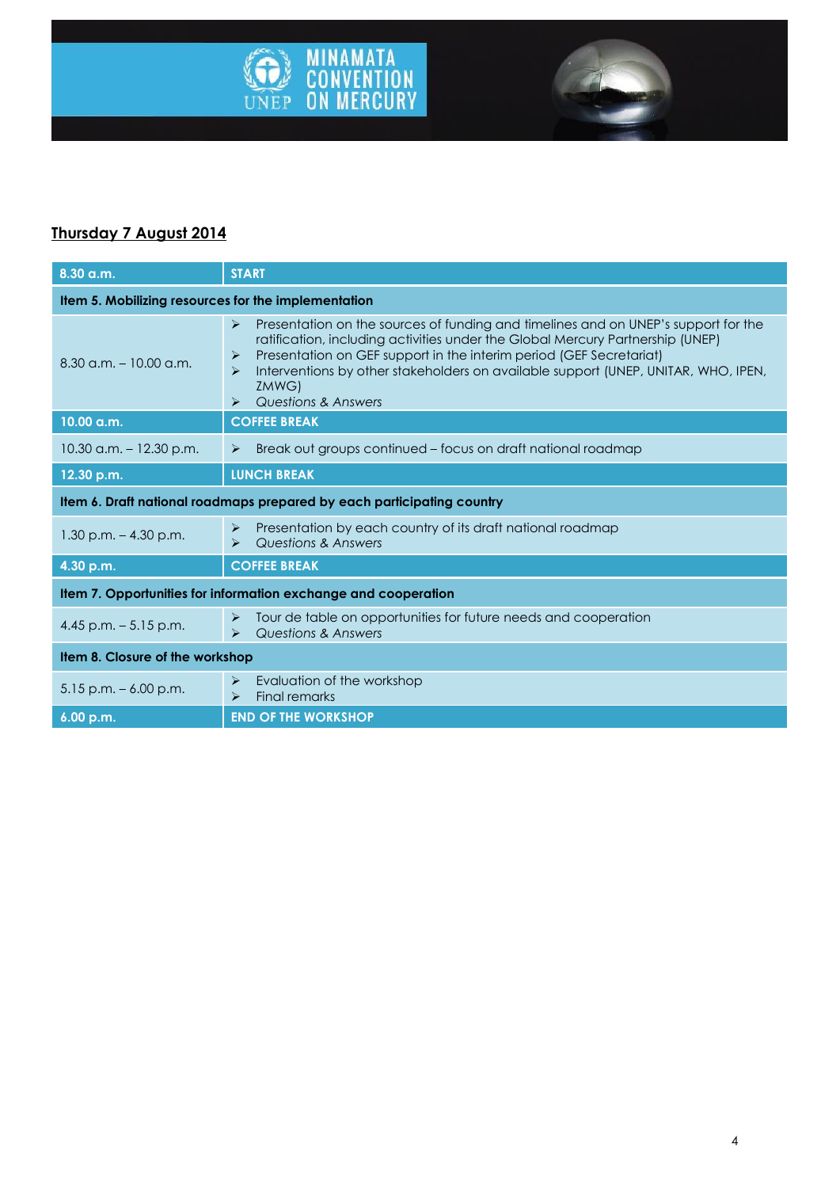

### **Thursday 7 August 2014**

| 8.30 a.m.                                                              | <b>START</b>                                                                                                                                                                                                                                                                                                                                                                                                         |  |
|------------------------------------------------------------------------|----------------------------------------------------------------------------------------------------------------------------------------------------------------------------------------------------------------------------------------------------------------------------------------------------------------------------------------------------------------------------------------------------------------------|--|
| Item 5. Mobilizing resources for the implementation                    |                                                                                                                                                                                                                                                                                                                                                                                                                      |  |
| $8.30$ a.m. $-10.00$ a.m.                                              | Presentation on the sources of funding and timelines and on UNEP's support for the<br>$\blacktriangleright$<br>ratification, including activities under the Global Mercury Partnership (UNEP)<br>Presentation on GEF support in the interim period (GEF Secretariat)<br>⋗<br>Interventions by other stakeholders on available support (UNEP, UNITAR, WHO, IPEN,<br>⋗<br>ZMWG)<br><b>Questions &amp; Answers</b><br>⋗ |  |
| 10.00 a.m.                                                             | <b>COFFEE BREAK</b>                                                                                                                                                                                                                                                                                                                                                                                                  |  |
| $10.30$ a.m. $-12.30$ p.m.                                             | Break out groups continued – focus on draft national roadmap<br>$\blacktriangleright$                                                                                                                                                                                                                                                                                                                                |  |
| 12.30 p.m.                                                             | <b>LUNCH BREAK</b>                                                                                                                                                                                                                                                                                                                                                                                                   |  |
| Item 6. Draft national roadmaps prepared by each participating country |                                                                                                                                                                                                                                                                                                                                                                                                                      |  |
| $1.30$ p.m. $-4.30$ p.m.                                               | Presentation by each country of its draft national roadmap<br>⋗<br><b>Questions &amp; Answers</b><br>⋗                                                                                                                                                                                                                                                                                                               |  |
| 4.30 p.m.                                                              | <b>COFFEE BREAK</b>                                                                                                                                                                                                                                                                                                                                                                                                  |  |
| Item 7. Opportunities for information exchange and cooperation         |                                                                                                                                                                                                                                                                                                                                                                                                                      |  |
| 4.45 p.m. $-5.15$ p.m.                                                 | Tour de table on opportunities for future needs and cooperation<br>$\blacktriangleright$<br>Questions & Answers<br>$\blacktriangleright$                                                                                                                                                                                                                                                                             |  |
| Item 8. Closure of the workshop                                        |                                                                                                                                                                                                                                                                                                                                                                                                                      |  |
| $5.15$ p.m. $-6.00$ p.m.                                               | Evaluation of the workshop<br>➤<br><b>Final remarks</b><br>$\blacktriangleright$                                                                                                                                                                                                                                                                                                                                     |  |
| 6.00 p.m.                                                              | <b>END OF THE WORKSHOP</b>                                                                                                                                                                                                                                                                                                                                                                                           |  |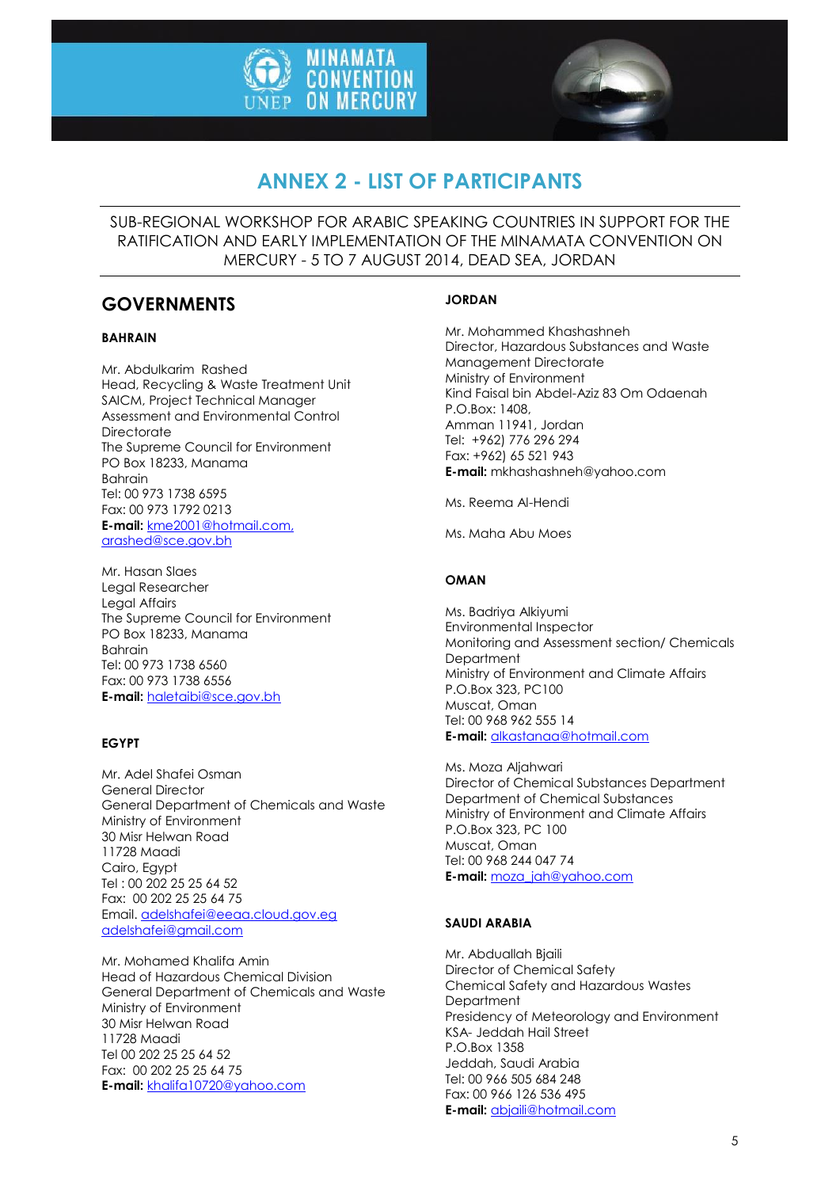



## **ANNEX 2 - LIST OF PARTICIPANTS**

SUB-REGIONAL WORKSHOP FOR ARABIC SPEAKING COUNTRIES IN SUPPORT FOR THE RATIFICATION AND EARLY IMPLEMENTATION OF THE MINAMATA CONVENTION ON MERCURY - 5 TO 7 AUGUST 2014, DEAD SEA, JORDAN

### **GOVERNMENTS**

#### **BAHRAIN**

Mr. Abdulkarim Rashed Head, Recycling & Waste Treatment Unit SAICM, Project Technical Manager Assessment and Environmental Control **Directorate** The Supreme Council for Environment PO Box 18233, Manama Bahrain Tel: 00 973 1738 6595 Fax: 00 973 1792 0213 **E-mail:** [kme2001@hotmail.com,](mailto:kme2001@hotmail.com) arashed@sce.gov.bh

Mr. Hasan Slaes Legal Researcher Legal Affairs The Supreme Council for Environment PO Box 18233, Manama Bahrain Tel: 00 973 1738 6560 Fax: 00 973 1738 6556 **E-mail:** [haletaibi@sce.gov.bh](mailto:haletaibi@sce.gov.bh)

#### **EGYPT**

Mr. Adel Shafei Osman General Director General Department of Chemicals and Waste Ministry of Environment 30 Misr Helwan Road 11728 Maadi Cairo, Egypt Tel : 00 202 25 25 64 52 Fax: 00 202 25 25 64 75 Email. [adelshafei@eeaa.cloud.gov.eg](mailto:adelshafei@eeaa.cloud.gov.egadelshafei@gmail.com) [adelshafei@gmail.com](mailto:adelshafei@eeaa.cloud.gov.egadelshafei@gmail.com)

Mr. Mohamed Khalifa Amin Head of Hazardous Chemical Division General Department of Chemicals and Waste Ministry of Environment 30 Misr Helwan Road 11728 Maadi Tel 00 202 25 25 64 52 Fax: 00 202 25 25 64 75 **E-mail:** [khalifa10720@yahoo.com](mailto:khalifa10720@yahoo.com)

#### **JORDAN**

Mr. Mohammed Khashashneh Director, Hazardous Substances and Waste Management Directorate Ministry of Environment Kind Faisal bin Abdel-Aziz 83 Om Odaenah P.O.Box: 1408, Amman 11941, Jordan Tel: +962) 776 296 294 Fax: +962) 65 521 943 **E-mail:** mkhashashneh@yahoo.com

Ms. Reema Al-Hendi

Ms. Maha Abu Moes

#### **OMAN**

Ms. Badriya Alkiyumi Environmental Inspector Monitoring and Assessment section/ Chemicals **Department** Ministry of Environment and Climate Affairs P.O.Box 323, PC100 Muscat, Oman Tel: 00 968 962 555 14 **E-mail:** [alkastanaa@hotmail.com](mailto:alkastanaa@hotmail.com)

Ms. Moza Aljahwari Director of Chemical Substances Department Department of Chemical Substances Ministry of Environment and Climate Affairs P.O.Box 323, PC 100 Muscat, Oman Tel: 00 968 244 047 74 **E-mail:** [moza\\_jah@yahoo.com](mailto:moza_jah@yahoo.com)

#### **SAUDI ARABIA**

Mr. Abduallah Bjaili Director of Chemical Safety Chemical Safety and Hazardous Wastes **Department** Presidency of Meteorology and Environment KSA- Jeddah Hail Street P.O.Box 1358 Jeddah, Saudi Arabia Tel: 00 966 505 684 248 Fax: 00 966 126 536 495 **E-mail:** [abjaili@hotmail.com](mailto:abjaili@hotmail.com)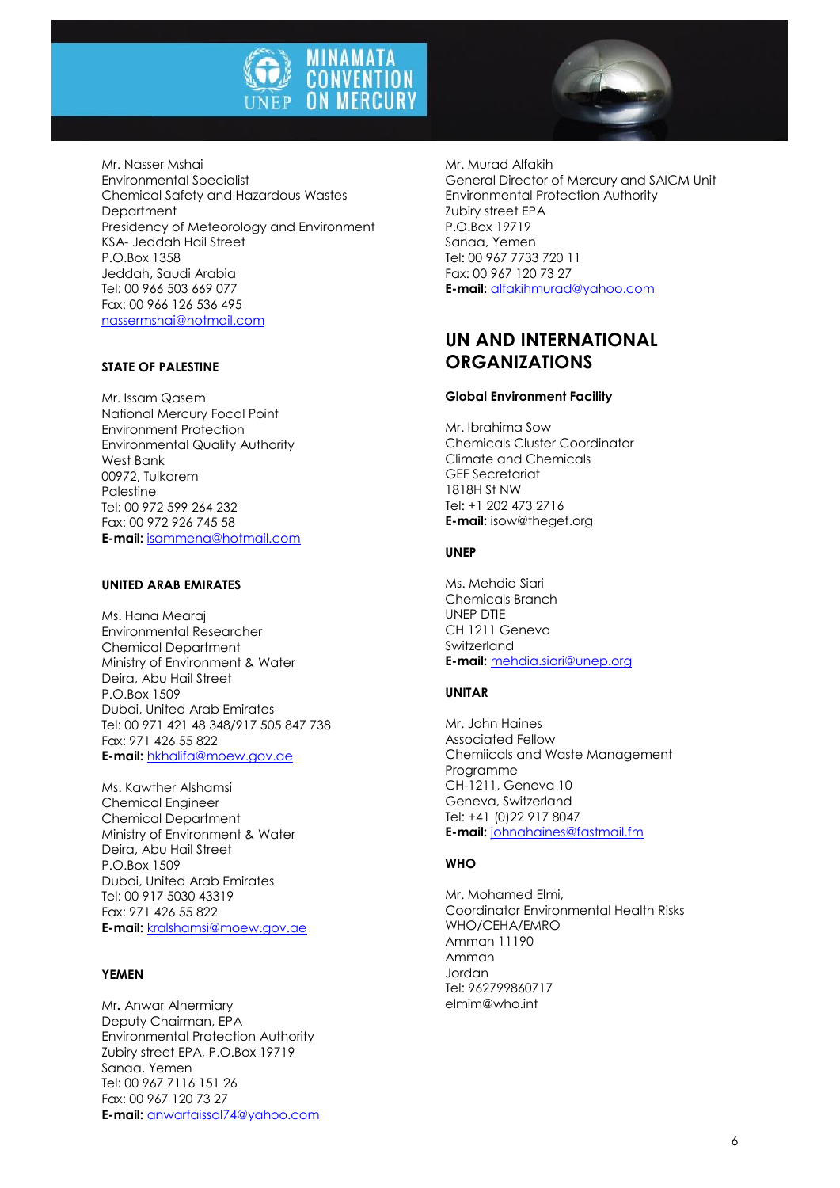

Mr. Nasser Mshai Environmental Specialist Chemical Safety and Hazardous Wastes **Department** Presidency of Meteorology and Environment KSA- Jeddah Hail Street P.O.Box 1358 Jeddah, Saudi Arabia Tel: 00 966 503 669 077 Fax: 00 966 126 536 495 [nassermshai@hotmail.com](mailto:nassermshai@hotmail.com)

#### **STATE OF PALESTINE**

Mr. Issam Qasem National Mercury Focal Point Environment Protection Environmental Quality Authority West Bank 00972, Tulkarem Palestine Tel: 00 972 599 264 232 Fax: 00 972 926 745 58 **E-mail:** [isammena@hotmail.com](mailto:isammena@hotmail.com)

#### **UNITED ARAB EMIRATES**

Ms. Hana Mearaj Environmental Researcher Chemical Department Ministry of Environment & Water Deira, Abu Hail Street P.O.Box 1509 Dubai, United Arab Emirates Tel: 00 971 421 48 348/917 505 847 738 Fax: 971 426 55 822 **E-mail:** [hkhalifa@moew.gov.ae](mailto:hkhalifa@moew.gov.ae)

Ms. Kawther Alshamsi Chemical Engineer Chemical Department Ministry of Environment & Water Deira, Abu Hail Street P.O.Box 1509 Dubai, United Arab Emirates Tel: 00 917 5030 43319 Fax: 971 426 55 822 **E-mail:** [kralshamsi@moew.gov.ae](mailto:kralshamsi@moew.gov.ae)

#### **YEMEN**

Mr**.** Anwar Alhermiary Deputy Chairman, EPA Environmental Protection Authority Zubiry street EPA, P.O.Box 19719 Sanaa, Yemen Tel: 00 967 7116 151 26 Fax: 00 967 120 73 27 **E-mail:** [anwarfaissal74@yahoo.com](mailto:anwarfaissal74@yahoo.com)

Mr. Murad Alfakih General Director of Mercury and SAICM Unit Environmental Protection Authority Zubiry street EPA P.O.Box 19719 Sanaa, Yemen Tel: 00 967 7733 720 11 Fax: 00 967 120 73 27 **E-mail:** [alfakihmurad@yahoo.com](mailto:alfakihmurad@yahoo.com)

### **UN AND INTERNATIONAL ORGANIZATIONS**

#### **Global Environment Facility**

Mr. Ibrahima Sow Chemicals Cluster Coordinator Climate and Chemicals GEF Secretariat 1818H St NW Tel: +1 202 473 2716 **E-mail:** isow@thegef.org

#### **UNEP**

Ms. Mehdia Siari Chemicals Branch UNEP DTIE CH 1211 Geneva Switzerland **E-mail:** [mehdia.siari@unep.org](mailto:mehdia.siari@unep.org)

#### **UNITAR**

Mr. John Haines Associated Fellow Chemiicals and Waste Management Programme CH-1211, Geneva 10 Geneva, Switzerland Tel: +41 (0)22 917 8047 **E-mail:** [johnahaines@fastmail.fm](mailto:johnahaines@fastmail.fm)

#### **WHO**

Mr. Mohamed Elmi, Coordinator Environmental Health Risks WHO/CEHA/EMRO Amman 11190 Amman Jordan Tel: 962799860717 elmim@who.int